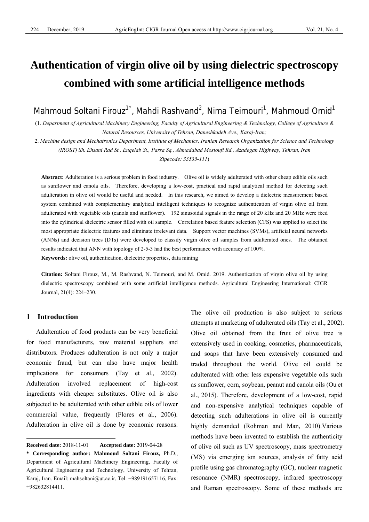# **Authentication of virgin olive oil by using dielectric spectroscopy combined with some artificial intelligence methods**

Mahmoud Soltani Firouz<sup>1\*</sup>, Mahdi Rashvand<sup>2</sup>, Nima Teimouri<sup>1</sup>, Mahmoud Omid<sup>1</sup>

(1. *Department of Agricultural Machinery Engineering, Faculty of Agricultural Engineering & Technology, College of Agriculture & Natural Resources, University of Tehran, Daneshkadeh Ave., Karaj-Iran;* 

2. *Machine design and Mechatronics Department, Institute of Mechanics, Iranian Research Organization for Science and Technology (IROST) Sh. Ehsani Rad St., Enqelab St., Parsa Sq., Ahmadabad Mostoufi Rd., Azadegan Highway, Tehran, Iran Zipecode: 33535-111*)

**Abstract:** Adulteration is a serious problem in food industry. Olive oil is widely adulterated with other cheap edible oils such as sunflower and canola oils. Therefore, developing a low-cost, practical and rapid analytical method for detecting such adulteration in olive oil would be useful and needed. In this research, we aimed to develop a dielectric measurement based system combined with complementary analytical intelligent techniques to recognize authentication of virgin olive oil from adulterated with vegetable oils (canola and sunflower). 192 sinusoidal signals in the range of 20 kHz and 20 MHz were feed into the cylindrical dielectric sensor filled with oil sample. Correlation based feature selection (CFS) was applied to select the most appropriate dielectric features and eliminate irrelevant data. Support vector machines (SVMs), artificial neural networks (ANNs) and decision trees (DTs) were developed to classify virgin olive oil samples from adulterated ones. The obtained results indicated that ANN with topology of 2-5-3 had the best performance with accuracy of 100%.

**Keywords:** olive oil, authentication, dielectric properties, data mining

**Citation:** Soltani Firouz, M., M. Rashvand, N. Teimouri, and M. Omid. 2019. Authentication of virgin olive oil by using dielectric spectroscopy combined with some artificial intelligence methods. Agricultural Engineering International: CIGR Journal, 21(4): 224–230.

# **1 Introduction**

 $\overline{a}$ 

Adulteration of food products can be very beneficial for food manufacturers, raw material suppliers and distributors. Produces adulteration is not only a major economic fraud, but can also have major health implications for consumers (Tay et al., 2002). Adulteration involved replacement of high-cost ingredients with cheaper substitutes. Olive oil is also subjected to be adulterated with other edible oils of lower commercial value, frequently (Flores et al., 2006). Adulteration in olive oil is done by economic reasons. The olive oil production is also subject to serious attempts at marketing of adulterated oils (Tay et al., 2002). Olive oil obtained from the fruit of olive tree is extensively used in cooking, cosmetics, pharmaceuticals, and soaps that have been extensively consumed and traded throughout the world. Olive oil could be adulterated with other less expensive vegetable oils such as sunflower, corn, soybean, peanut and canola oils (Ou et al., 2015). Therefore, development of a low-cost, rapid and non-expensive analytical techniques capable of detecting such adulterations in olive oil is currently highly demanded (Rohman and Man, 2010).Various methods have been invented to establish the authenticity of olive oil such as UV spectroscopy, mass spectrometry (MS) via emerging ion sources, analysis of fatty acid profile using gas chromatography (GC), nuclear magnetic resonance (NMR) spectroscopy, infrared spectroscopy and Raman spectroscopy. Some of these methods are

**Received date:** 2018-11-01 **Accepted date:** 2019-04-28

**<sup>\*</sup> Corresponding author: Mahmoud Soltani Firouz,** Ph.D., Department of Agricultural Machinery Engineering, Faculty of Agricultural Engineering and Technology, University of Tehran, Karaj, Iran. Email: mahsoltani@ut.ac.ir, Tel: +989191657116, Fax: +982632814411.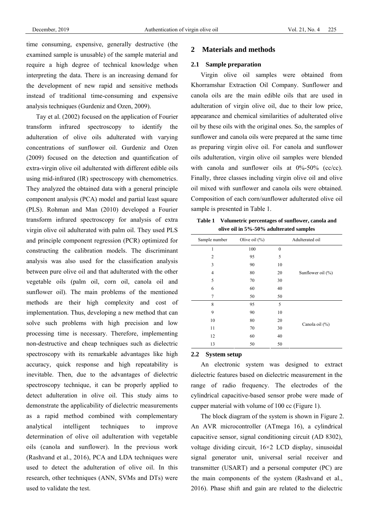time consuming, expensive, generally destructive (the examined sample is unusable) of the sample material and require a high degree of technical knowledge when interpreting the data. There is an increasing demand for the development of new rapid and sensitive methods instead of traditional time-consuming and expensive analysis techniques (Gurdeniz and Ozen, 2009).

Tay et al. (2002) focused on the application of Fourier transform infrared spectroscopy to identify the adulteration of olive oils adulterated with varying concentrations of sunflower oil. Gurdeniz and Ozen (2009) focused on the detection and quantification of extra-virgin olive oil adulterated with different edible oils using mid-infrared (IR) spectroscopy with chemometrics. They analyzed the obtained data with a general principle component analysis (PCA) model and partial least square (PLS). Rohman and Man (2010) developed a Fourier transform infrared spectroscopy for analysis of extra virgin olive oil adulterated with palm oil. They used PLS and principle component regression (PCR) optimized for constructing the calibration models. The discriminant analysis was also used for the classification analysis between pure olive oil and that adulterated with the other vegetable oils (palm oil, corn oil, canola oil and sunflower oil). The main problems of the mentioned methods are their high complexity and cost of implementation. Thus, developing a new method that can solve such problems with high precision and low processing time is necessary. Therefore, implementing non-destructive and cheap techniques such as dielectric spectroscopy with its remarkable advantages like high accuracy, quick response and high repeatability is inevitable. Then, due to the advantages of dielectric spectroscopy technique, it can be properly applied to detect adulteration in olive oil. This study aims to demonstrate the applicability of dielectric measurements as a rapid method combined with complementary analytical intelligent techniques to improve determination of olive oil adulteration with vegetable oils (canola and sunflower). In the previous work (Rashvand et al., 2016), PCA and LDA techniques were used to detect the adulteration of olive oil. In this research, other techniques (ANN, SVMs and DTs) were used to validate the test.

## **2 Materials and methods**

## **2.1 Sample preparation**

Virgin olive oil samples were obtained from Khorramshar Extraction Oil Company. Sunflower and canola oils are the main edible oils that are used in adulteration of virgin olive oil, due to their low price, appearance and chemical similarities of adulterated olive oil by these oils with the original ones. So, the samples of sunflower and canola oils were prepared at the same time as preparing virgin olive oil. For canola and sunflower oils adulteration, virgin olive oil samples were blended with canola and sunflower oils at 0%-50% (cc/cc). Finally, three classes including virgin olive oil and olive oil mixed with sunflower and canola oils were obtained. Composition of each corn/sunflower adulterated olive oil sample is presented in Table 1.

**Table 1 Volumetric percentages of sunflower, canola and olive oil in 5%-50% adulterated samples** 

| Sample number  | Olive oil $(\% )$ |              | Adulterated oil       |
|----------------|-------------------|--------------|-----------------------|
| 1              | 100               | $\mathbf{0}$ |                       |
| $\overline{2}$ | 95                | 5            |                       |
| 3              | 90                | 10           |                       |
| $\overline{4}$ | 80                | 20           | Sunflower oil $(\% )$ |
| 5              | 70                | 30           |                       |
| 6              | 60                | 40           |                       |
| 7              | 50                | 50           |                       |
| 8              | 95                | 5            |                       |
| 9              | 90                | 10           |                       |
| 10             | 80                | 20           |                       |
| 11             | 70                | 30           | Canola oil (%)        |
| 12             | 60                | 40           |                       |
| 13             | 50                | 50           |                       |

#### **2.2 System setup**

An electronic system was designed to extract dielectric features based on dielectric measurement in the range of radio frequency. The electrodes of the cylindrical capacitive-based sensor probe were made of cupper material with volume of 100 cc (Figure 1).

The block diagram of the system is shown in Figure 2. An AVR microcontroller (ATmega 16), a cylindrical capacitive sensor, signal conditioning circuit (AD 8302), voltage dividing circuit, 16×2 LCD display, sinusoidal signal generator unit, universal serial receiver and transmitter (USART) and a personal computer (PC) are the main components of the system (Rashvand et al., 2016). Phase shift and gain are related to the dielectric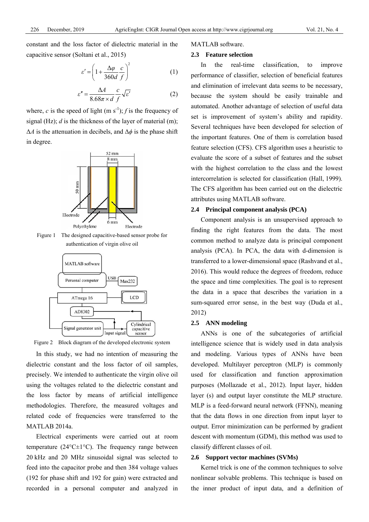constant and the loss factor of dielectric material in the capacitive sensor (Soltani et al., 2015)

$$
\varepsilon' = \left(1 + \frac{\Delta \varphi}{360d} \frac{c}{f}\right)^2\tag{1}
$$

$$
\varepsilon'' = \frac{\Delta A}{8.68\pi \times d} \frac{c}{f} \sqrt{\varepsilon'}
$$
 (2)

where, *c* is the speed of light (m s<sup>-1</sup>); *f* is the frequency of signal (Hz); *d* is the thickness of the layer of material (m); Δ*A* is the attenuation in decibels, and Δ*ϕ* is the phase shift in degree.



Figure 1 The designed capacitive-based sensor probe for authentication of virgin olive oil



Figure 2 Block diagram of the developed electronic system

In this study, we had no intention of measuring the dielectric constant and the loss factor of oil samples, precisely. We intended to authenticate the virgin olive oil using the voltages related to the dielectric constant and the loss factor by means of artificial intelligence methodologies. Therefore, the measured voltages and related code of frequencies were transferred to the MATLAB 2014a.

Electrical experiments were carried out at room temperature ( $24^{\circ}$ C $\pm$ 1 $^{\circ}$ C). The frequency range between 20 kHz and 20 MHz sinusoidal signal was selected to feed into the capacitor probe and then 384 voltage values (192 for phase shift and 192 for gain) were extracted and recorded in a personal computer and analyzed in

#### MATLAB software.

#### **2.3 Feature selection**

In the real-time classification, to improve performance of classifier, selection of beneficial features and elimination of irrelevant data seems to be necessary, because the system should be easily trainable and automated. Another advantage of selection of useful data set is improvement of system's ability and rapidity. Several techniques have been developed for selection of the important features. One of them is correlation based feature selection (CFS). CFS algorithm uses a heuristic to evaluate the score of a subset of features and the subset with the highest correlation to the class and the lowest intercorrelation is selected for classification (Hall, 1999). The CFS algorithm has been carried out on the dielectric attributes using MATLAB software.

#### **2.4 Principal component analysis (PCA)**

Component analysis is an unsupervised approach to finding the right features from the data. The most common method to analyze data is principal component analysis (PCA). In PCA, the data with d-dimension is transferred to a lower-dimensional space (Rashvand et al., 2016). This would reduce the degrees of freedom, reduce the space and time complexities. The goal is to represent the data in a space that describes the variation in a sum-squared error sense, in the best way (Duda et al., 2012)

#### **2.5 ANN modeling**

ANNs is one of the subcategories of artificial intelligence science that is widely used in data analysis and modeling. Various types of ANNs have been developed. Multilayer perceptron (MLP) is commonly used for classification and function approximation purposes (Mollazade et al., 2012). Input layer, hidden layer (s) and output layer constitute the MLP structure. MLP is a feed-forward neural network (FFNN), meaning that the data flows in one direction from input layer to output. Error minimization can be performed by gradient descent with momentum (GDM), this method was used to classify different classes of oil.

## **2.6 Support vector machines (SVMs)**

Kernel trick is one of the common techniques to solve nonlinear solvable problems. This technique is based on the inner product of input data, and a definition of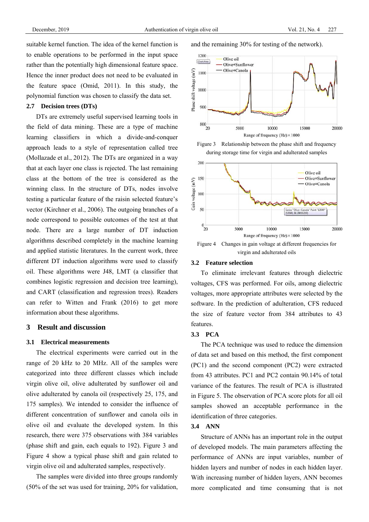suitable kernel function. The idea of the kernel function is to enable operations to be performed in the input space rather than the potentially high dimensional feature space. Hence the inner product does not need to be evaluated in the feature space (Omid, 2011). In this study, the polynomial function was chosen to classify the data set.

#### **2.7 Decision trees (DTs)**

DTs are extremely useful supervised learning tools in the field of data mining. These are a type of machine learning classifiers in which a divide-and-conquer approach leads to a style of representation called tree (Mollazade et al., 2012). The DTs are organized in a way that at each layer one class is rejected. The last remaining class at the bottom of the tree is considered as the winning class. In the structure of DTs, nodes involve testing a particular feature of the raisin selected feature's vector (Kirchner et al., 2006). The outgoing branches of a node correspond to possible outcomes of the test at that node. There are a large number of DT induction algorithms described completely in the machine learning and applied statistic literatures. In the current work, three different DT induction algorithms were used to classify oil. These algorithms were J48, LMT (a classifier that combines logistic regression and decision tree learning), and CART (classification and regression trees). Readers can refer to Witten and Frank (2016) to get more information about these algorithms.

## **3 Result and discussion**

#### **3.1 Electrical measurements**

The electrical experiments were carried out in the range of 20 kHz to 20 MHz. All of the samples were categorized into three different classes which include virgin olive oil, olive adulterated by sunflower oil and olive adulterated by canola oil (respectively 25, 175, and 175 samples). We intended to consider the influence of different concentration of sunflower and canola oils in olive oil and evaluate the developed system. In this research, there were 375 observations with 384 variables (phase shift and gain, each equals to 192). Figure 3 and Figure 4 show a typical phase shift and gain related to virgin olive oil and adulterated samples, respectively.

The samples were divided into three groups randomly (50% of the set was used for training, 20% for validation, and the remaining 30% for testing of the network).







virgin and adulterated oils

## **3.2 Feature selection**

To eliminate irrelevant features through dielectric voltages, CFS was performed. For oils, among dielectric voltages, more appropriate attributes were selected by the software. In the prediction of adulteration, CFS reduced the size of feature vector from 384 attributes to 43 features.

#### **3.3 PCA**

The PCA technique was used to reduce the dimension of data set and based on this method, the first component (PC1) and the second component (PC2) were extracted from 43 attributes. PC1 and PC2 contain 90.14% of total variance of the features. The result of PCA is illustrated in Figure 5. The observation of PCA score plots for all oil samples showed an acceptable performance in the identification of three categories.

#### **3.4 ANN**

Structure of ANNs has an important role in the output of developed models. The main parameters affecting the performance of ANNs are input variables, number of hidden layers and number of nodes in each hidden layer. With increasing number of hidden layers, ANN becomes more complicated and time consuming that is not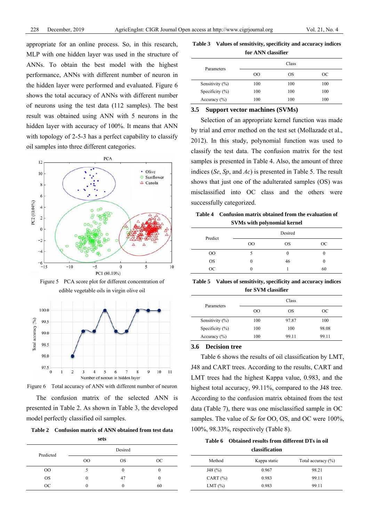appropriate for an online process. So, in this research, MLP with one hidden layer was used in the structure of ANNs. To obtain the best model with the highest performance, ANNs with different number of neuron in the hidden layer were performed and evaluated. Figure 6 shows the total accuracy of ANNs with different number of neurons using the test data (112 samples). The best result was obtained using ANN with 5 neurons in the hidden layer with accuracy of 100%. It means that ANN with topology of 2-5-3 has a perfect capability to classify oil samples into three different categories.



Figure 5 PCA score plot for different concentration of edible vegetable oils in virgin olive oil





The confusion matrix of the selected ANN is presented in Table 2. As shown in Table 3, the developed model perfectly classified oil samples.

**Table 2 Confusion matrix of ANN obtained from test data** 

| sets |  |  |
|------|--|--|
|      |  |  |

| Predicted |    | Desired   |           |
|-----------|----|-----------|-----------|
|           | 00 | <b>OS</b> | <b>OC</b> |
| 00        |    |           |           |
| <b>OS</b> | 0  | 47        |           |
| OC.       |    |           | 60        |

**Table 3 Values of sensitivity, specificity and accuracy indices for ANN classifier** 

| Parameters          |         | Class |     |
|---------------------|---------|-------|-----|
|                     | $^{00}$ | OS    | OС  |
| Sensitivity $(\%)$  | 100     | 100   | 100 |
| Specificity $(\% )$ | 100     | 100   | 100 |
| Accuracy $(\% )$    | 100     | 100   | 100 |

## **3.5 Support vector machines (SVMs)**

Selection of an appropriate kernel function was made by trial and error method on the test set (Mollazade et al., 2012). In this study, polynomial function was used to classify the test data. The confusion matrix for the test samples is presented in Table 4. Also, the amount of three indices (*Se*, *Sp*, and *Ac*) is presented in Table 5. The result shows that just one of the adulterated samples (OS) was misclassified into OC class and the others were successfully categorized.

**Table 4 Confusion matrix obtained from the evaluation of SVMs with polynomial kernel** 

| Predict   |        | Desired   |     |
|-----------|--------|-----------|-----|
|           | $00\,$ | <b>OS</b> | OC. |
| $00\,$    |        |           |     |
| <b>OS</b> |        | 46        |     |
| OC        |        |           | 60  |

**Table 5 Values of sensitivity, specificity and accuracy indices for SVM classifier** 

|                     |               | Class |       |
|---------------------|---------------|-------|-------|
| Parameters          | <sub>00</sub> | ОS    | OC    |
| Sensitivity $(\%)$  | 100           | 97.87 | 100   |
| Specificity $(\% )$ | 100           | 100   | 98.08 |
| Accuracy $(\% )$    | 100           | 99.11 | 99.11 |

## **3.6 Decision tree**

Table 6 shows the results of oil classification by LMT, J48 and CART trees. According to the results, CART and LMT trees had the highest Kappa value, 0.983, and the highest total accuracy, 99.11%, compared to the J48 tree. According to the confusion matrix obtained from the test data (Table 7), there was one misclassified sample in OC samples. The value of *Se* for OO, OS, and OC were 100%, 100%, 98.33%, respectively (Table 8).

**Table 6 Obtained results from different DTs in oil classification** 

|              | <i><b>CREDITION CIVIL</b></i> |                    |
|--------------|-------------------------------|--------------------|
| Method       | Kappa static                  | Total accuracy (%) |
| J48(%)       | 0.967                         | 98.21              |
| CART $(\% )$ | 0.983                         | 99.11              |
| LMT $(\%)$   | 0.983                         | 99.11              |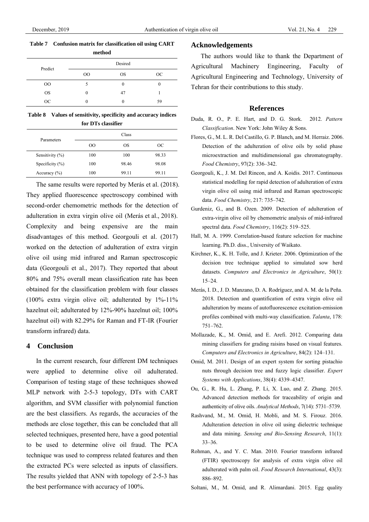# **Table 7 Confusion matrix for classification oil using CART**

|           | method   |           |           |
|-----------|----------|-----------|-----------|
| Predict   |          | Desired   |           |
|           | $00\,$   | <b>OS</b> | <b>OC</b> |
| $00\,$    |          | 0         |           |
| <b>OS</b> | $\theta$ | 47        |           |
| <b>OC</b> |          |           | 59        |

**Table 8 Values of sensitivity, specificity and accuracy indices for DTs classifier** 

|                     |     | Class |       |
|---------------------|-----|-------|-------|
| Parameters          | 00  | OS    | OС    |
| Sensitivity $(\% )$ | 100 | 100   | 98.33 |
| Specificity $(\% )$ | 100 | 98.46 | 98.08 |
| Accuracy $(\% )$    | 100 | 99.11 | 99.11 |

The same results were reported by Merás et al. (2018). They applied fluorescence spectroscopy combined with second-order chemometric methods for the detection of adulteration in extra virgin olive oil (Merás et al., 2018). Complexity and being expensive are the main disadvantages of this method. Georgouli et al. (2017) worked on the detection of adulteration of extra virgin olive oil using mid infrared and Raman spectroscopic data (Georgouli et al., 2017). They reported that about 80% and 75% overall mean classification rate has been obtained for the classification problem with four classes (100% extra virgin olive oil; adulterated by 1%-11% hazelnut oil; adulterated by 12%-90% hazelnut oil; 100% hazelnut oil) with 82.29% for Raman and FT-IR (Fourier transform infrared) data.

### **4 Conclusion**

In the current research, four different DM techniques were applied to determine olive oil adulterated. Comparison of testing stage of these techniques showed MLP network with 2-5-3 topology, DTs with CART algorithm, and SVM classifier with polynomial function are the best classifiers. As regards, the accuracies of the methods are close together, this can be concluded that all selected techniques, presented here, have a good potential to be used to determine olive oil fraud. The PCA technique was used to compress related features and then the extracted PCs were selected as inputs of classifiers. The results yielded that ANN with topology of 2-5-3 has the best performance with accuracy of 100%.

#### **Acknowledgements**

The authors would like to thank the Department of Agricultural Machinery Engineering, Faculty of Agricultural Engineering and Technology, University of Tehran for their contributions to this study.

## **References**

- Duda, R. O., P. E. Hart, and D. G. Stork. 2012. *Pattern Classification*. New York: John Wiley & Sons.
- Flores, G., M. L. R. Del Castillo, G. P. Blanch, and M. Herraiz. 2006. Detection of the adulteration of olive oils by solid phase microextraction and multidimensional gas chromatography. *Food Chemistry*, 97(2): 336–342.
- Georgouli, K., J. M. Del Rincon, and A. Koidis. 2017. Continuous statistical modelling for rapid detection of adulteration of extra virgin olive oil using mid infrared and Raman spectroscopic data. *Food Chemistry*, 217: 735–742.
- Gurdeniz, G., and B. Ozen. 2009. Detection of adulteration of extra-virgin olive oil by chemometric analysis of mid-infrared spectral data. *Food Chemistry*, 116(2): 519–525.
- Hall, M. A. 1999. Correlation-based feature selection for machine learning. Ph.D. diss., University of Waikato.
- Kirchner, K., K. H. Tolle, and J. Krieter. 2006. Optimization of the decision tree technique applied to simulated sow herd datasets. *Computers and Electronics in Agriculture*, 50(1): 15–24.
- Merás, I. D., J. D. Manzano, D. A. Rodríguez, and A. M. de la Peña. 2018. Detection and quantification of extra virgin olive oil adulteration by means of autofluorescence excitation-emission profiles combined with multi-way classification. *Talanta*, 178: 751–762.
- Mollazade, K., M. Omid, and E. Arefi. 2012. Comparing data mining classifiers for grading raisins based on visual features. *Computers and Electronics in Agriculture*, 84(2): 124–131.
- Omid, M. 2011. Design of an expert system for sorting pistachio nuts through decision tree and fuzzy logic classifier. *Expert Systems with Applications*, 38(4): 4339–4347.
- Ou, G., R. Hu, L. Zhang, P. Li, X. Luo, and Z. Zhang. 2015. Advanced detection methods for traceability of origin and authenticity of olive oils. *Analytical Methods*, 7(14): 5731–5739.
- Rashvand, M., M. Omid, H. Mobli, and M. S. Firouz. 2016. Adulteration detection in olive oil using dielectric technique and data mining. *Sensing and Bio-Sensing Research*, 11(1): 33–36.
- Rohman, A., and Y. C. Man. 2010. Fourier transform infrared (FTIR) spectroscopy for analysis of extra virgin olive oil adulterated with palm oil. *Food Research International*, 43(3): 886–892.
- Soltani, M., M. Omid, and R. Alimardani. 2015. Egg quality